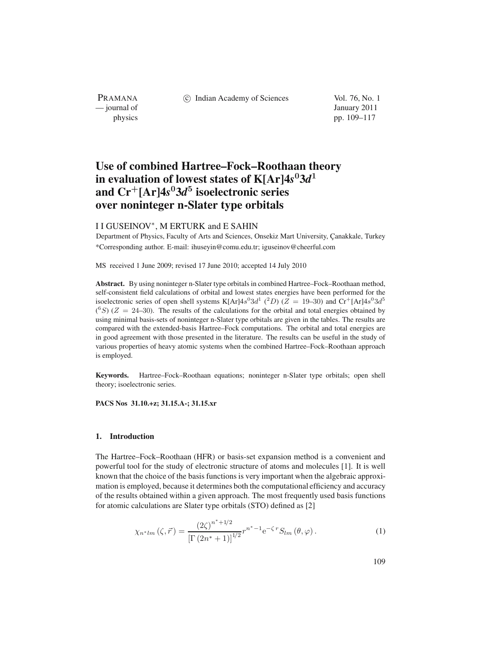PRAMANA<br>
— journal of

(c) Indian Academy of Sciences Vol. 76, No. 1

January 2011 physics pp. 109–117

# **Use of combined Hartree–Fock–Roothaan theory in evaluation of lowest states of K[Ar]4***s***<sup>0</sup>3***d***<sup>1</sup> and Cr<sup>+</sup>[Ar]4***s***<sup>0</sup>3***d***<sup>5</sup> isoelectronic series over noninteger n-Slater type orbitals**

# I I GUSEINOV∗, M ERTURK and E SAHIN

Department of Physics, Faculty of Arts and Sciences, Onsekiz Mart University, Çanakkale, Turkey \*Corresponding author. E-mail: ihuseyin@comu.edu.tr; iguseinov@cheerful.com

MS received 1 June 2009; revised 17 June 2010; accepted 14 July 2010

**Abstract.** By using noninteger n-Slater type orbitals in combined Hartree–Fock–Roothaan method, self-consistent field calculations of orbital and lowest states energies have been performed for the isoelectronic series of open shell systems K[Ar] $4s^03d^1$  ( $^2D$ ) ( $Z = 19-30$ ) and Cr<sup>+</sup>[Ar] $4s^03d^5$  $(^{6}S)$  (Z = 24–30). The results of the calculations for the orbital and total energies obtained by using minimal basis-sets of noninteger n-Slater type orbitals are given in the tables. The results are compared with the extended-basis Hartree–Fock computations. The orbital and total energies are in good agreement with those presented in the literature. The results can be useful in the study of various properties of heavy atomic systems when the combined Hartree–Fock–Roothaan approach is employed.

**Keywords.** Hartree–Fock–Roothaan equations; noninteger n-Slater type orbitals; open shell theory; isoelectronic series.

**PACS Nos 31.10.+z; 31.15.A-; 31.15.xr**

# **1. Introduction**

The Hartree–Fock–Roothaan (HFR) or basis-set expansion method is a convenient and powerful tool for the study of electronic structure of atoms and molecules [1]. It is well known that the choice of the basis functions is very important when the algebraic approximation is employed, because it determines both the computational efficiency and accuracy of the results obtained within a given approach. The most frequently used basis functions for atomic calculations are Slater type orbitals (STO) defined as [2]

$$
\chi_{n^*lm}(\zeta,\vec{r}) = \frac{(2\zeta)^{n^*+1/2}}{\left[\Gamma(2n^*+1)\right]^{1/2}} r^{n^*-1} e^{-\zeta r} S_{lm}(\theta,\varphi).
$$
 (1)

109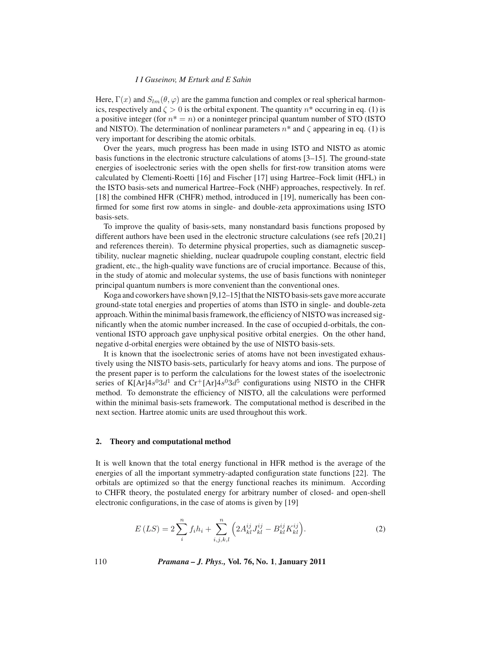#### *I I Guseinov, M Erturk and E Sahin*

Here,  $\Gamma(x)$  and  $S_{lm}(\theta, \varphi)$  are the gamma function and complex or real spherical harmonics, respectively and  $\zeta > 0$  is the orbital exponent. The quantity  $n^*$  occurring in eq. (1) is a positive integer (for  $n^* = n$ ) or a noninteger principal quantum number of STO (ISTO and NISTO). The determination of nonlinear parameters  $n^*$  and  $\zeta$  appearing in eq. (1) is very important for describing the atomic orbitals.

Over the years, much progress has been made in using ISTO and NISTO as atomic basis functions in the electronic structure calculations of atoms [3–15]. The ground-state energies of isoelectronic series with the open shells for first-row transition atoms were calculated by Clementi-Roetti [16] and Fischer [17] using Hartree–Fock limit (HFL) in the ISTO basis-sets and numerical Hartree–Fock (NHF) approaches, respectively. In ref. [18] the combined HFR (CHFR) method, introduced in [19], numerically has been confirmed for some first row atoms in single- and double-zeta approximations using ISTO basis-sets.

To improve the quality of basis-sets, many nonstandard basis functions proposed by different authors have been used in the electronic structure calculations (see refs [20,21] and references therein). To determine physical properties, such as diamagnetic susceptibility, nuclear magnetic shielding, nuclear quadrupole coupling constant, electric field gradient, etc., the high-quality wave functions are of crucial importance. Because of this, in the study of atomic and molecular systems, the use of basis functions with noninteger principal quantum numbers is more convenient than the conventional ones.

Koga and coworkers have shown  $[9,12-15]$  that the NISTO basis-sets gave more accurate ground-state total energies and properties of atoms than ISTO in single- and double-zeta approach. Within the minimal basis framework, the efficiency of NISTO was increased significantly when the atomic number increased. In the case of occupied d-orbitals, the conventional ISTO approach gave unphysical positive orbital energies. On the other hand, negative d-orbital energies were obtained by the use of NISTO basis-sets.

It is known that the isoelectronic series of atoms have not been investigated exhaustively using the NISTO basis-sets, particularly for heavy atoms and ions. The purpose of the present paper is to perform the calculations for the lowest states of the isoelectronic series of K[Ar] $4s^03d^1$  and Cr<sup>+</sup>[Ar] $4s^03d^5$  configurations using NISTO in the CHFR method. To demonstrate the efficiency of NISTO, all the calculations were performed within the minimal basis-sets framework. The computational method is described in the next section. Hartree atomic units are used throughout this work.

#### **2. Theory and computational method**

It is well known that the total energy functional in HFR method is the average of the energies of all the important symmetry-adapted configuration state functions [22]. The orbitals are optimized so that the energy functional reaches its minimum. According to CHFR theory, the postulated energy for arbitrary number of closed- and open-shell electronic configurations, in the case of atoms is given by [19]

$$
E(LS) = 2\sum_{i}^{n} f_i h_i + \sum_{i,j,k,l}^{n} \left( 2A_{kl}^{ij} J_{kl}^{ij} - B_{kl}^{ij} K_{kl}^{ij} \right). \tag{2}
$$

110 *Pramana – J. Phys.,* **Vol. 76, No. 1**, **January 2011**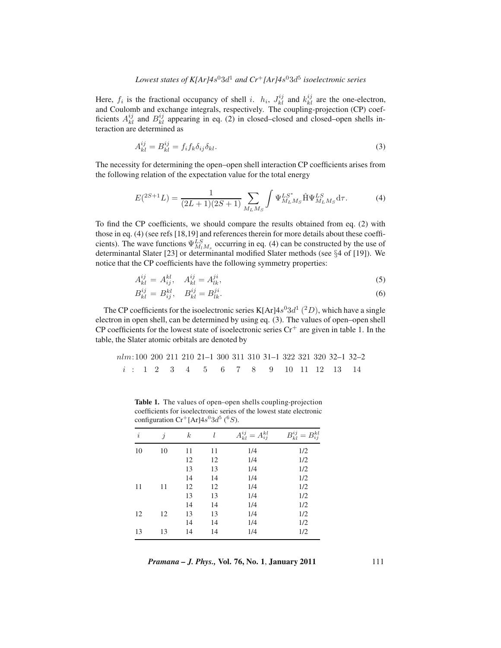## *Lowest states of K[Ar]4s*<sup>0</sup>3 $d^1$  *and Cr*<sup>+</sup>*[Ar]4s*<sup>0</sup>3 $d^5$  *isoelectronic series*

Here,  $f_i$  is the fractional occupancy of shell i.  $h_i$ ,  $J_{kl}^{ij}$  and  $k_{kl}^{ij}$  are the one-electron, and Coulomb and exchange integrals, respectively. The coupling-projection (CP) coefficients  $A_{kl}^{ij}$  and  $B_{kl}^{ij}$  appearing in eq. (2) in closed–closed and closed–open shells interaction are determined as

$$
A_{kl}^{ij} = B_{kl}^{ij} = f_i f_k \delta_{ij} \delta_{kl}.
$$
\n(3)

The necessity for determining the open–open shell interaction CP coefficients arises from the following relation of the expectation value for the total energy

$$
E({}^{2S+1}L) = \frac{1}{(2L+1)(2S+1)} \sum_{M_L M_S} \int \Psi_{M_L M_S}^{L S^*} \hat{\mathbf{H}} \Psi_{M_L M_S}^{L S} d\tau.
$$
 (4)

To find the CP coefficients, we should compare the results obtained from eq. (2) with those in eq. (4) (see refs [18,19] and references therein for more details about these coefficients). The wave functions  $\Psi_{M_1M_s}^{LS}$  occurring in eq. (4) can be constructed by the use of determinantal Slater [23] or determinantal modified Slater methods (see §4 of [19]). We notice that the CP coefficients have the following symmetry properties:

$$
A_{kl}^{ij} = A_{ij}^{kl}, \quad A_{kl}^{ij} = A_{lk}^{ji}, \tag{5}
$$

$$
B_{kl}^{ij} = B_{ij}^{kl}, \quad B_{kl}^{ij} = B_{lk}^{ji}.
$$
 (6)

The CP coefficients for the isoelectronic series K[Ar] $4s^03d^1$  ( $^2D$ ), which have a single electron in open shell, can be determined by using eq. (3). The values of open–open shell CP coefficients for the lowest state of isoelectronic series  $Cr<sup>+</sup>$  are given in table 1. In the table, the Slater atomic orbitals are denoted by

| $nlm:100$ | 200 | 211 | 210 | 21–1 | 300 | 311 | 310 | 31–1 | 322 | 321 | 320 | 32–1 | 32–2 |
|-----------|-----|-----|-----|------|-----|-----|-----|------|-----|-----|-----|------|------|
| $i : 1$   | 2   | 3   | 4   | 5    | 6   | 7   | 8   | 9    | 10  | 11  | 12  | 13   | 14   |

**Table 1.** The values of open–open shells coupling-projection coefficients for isoelectronic series of the lowest state electronic configuration  $\mathrm{Cr}^+[\mathrm{Ar}]4s^03d^5$  (<sup>6</sup>S).

| i  | $\dot{j}$ | $_{k}$ |    | $A^{ij}_{kl}$<br>$A_{ij}^{kl}$ | $B^{ij}_{kl} =$<br>$B_{ij}^{kl}$ |
|----|-----------|--------|----|--------------------------------|----------------------------------|
| 10 | 10        | 11     | 11 | 1/4                            | 1/2                              |
|    |           | 12     | 12 | 1/4                            | 1/2                              |
|    |           | 13     | 13 | 1/4                            | 1/2                              |
|    |           | 14     | 14 | 1/4                            | 1/2                              |
| 11 | 11        | 12     | 12 | 1/4                            | 1/2                              |
|    |           | 13     | 13 | 1/4                            | 1/2                              |
|    |           | 14     | 14 | 1/4                            | 1/2                              |
| 12 | 12        | 13     | 13 | 1/4                            | 1/2                              |
|    |           | 14     | 14 | 1/4                            | 1/2                              |
| 13 | 13        | 14     | 14 | 1/4                            | 1/2                              |

*Pramana – J. Phys.,* **Vol. 76, No. 1**, **January 2011** 111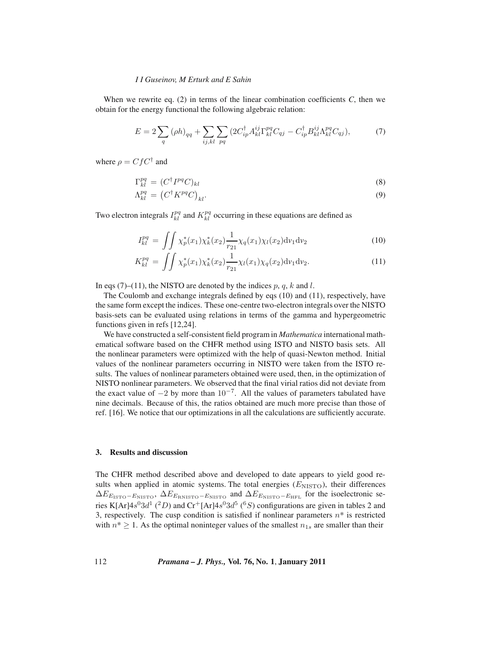#### *I I Guseinov, M Erturk and E Sahin*

When we rewrite eq.  $(2)$  in terms of the linear combination coefficients  $C$ , then we obtain for the energy functional the following algebraic relation:

$$
E = 2\sum_{q} (\rho h)_{qq} + \sum_{ij,kl} \sum_{pq} (2C_{ip}^{\dagger} A_{kl}^{ij} \Gamma_{kl}^{pq} C_{qj} - C_{ip}^{\dagger} B_{kl}^{ij} \Lambda_{kl}^{pq} C_{qj}), \tag{7}
$$

where  $\rho = C f C^{\dagger}$  and

$$
\Gamma_{kl}^{pq} = (C^{\dagger}I^{pq}C)_{kl} \tag{8}
$$

$$
\Lambda_{kl}^{pq} = \left(C^{\dagger} K^{pq} C\right)_{kl}.
$$
\n(9)

Two electron integrals  $I_{kl}^{pq}$  and  $K_{kl}^{pq}$  occurring in these equations are defined as

$$
I_{kl}^{pq} = \iint \chi_p^*(x_1) \chi_k^*(x_2) \frac{1}{r_{21}} \chi_q(x_1) \chi_l(x_2) \mathrm{d}v_1 \mathrm{d}v_2 \tag{10}
$$

$$
K_{kl}^{pq} = \iint \chi_p^*(x_1) \chi_k^*(x_2) \frac{1}{r_{21}} \chi_l(x_1) \chi_q(x_2) \mathrm{d}v_1 \mathrm{d}v_2. \tag{11}
$$

In eqs (7)–(11), the NISTO are denoted by the indices  $p, q, k$  and l.

The Coulomb and exchange integrals defined by eqs (10) and (11), respectively, have the same form except the indices. These one-centre two-electron integrals over the NISTO basis-sets can be evaluated using relations in terms of the gamma and hypergeometric functions given in refs [12,24].

We have constructed a self-consistent field program in *Mathematica* international mathematical software based on the CHFR method using ISTO and NISTO basis sets. All the nonlinear parameters were optimized with the help of quasi-Newton method. Initial values of the nonlinear parameters occurring in NISTO were taken from the ISTO results. The values of nonlinear parameters obtained were used, then, in the optimization of NISTO nonlinear parameters. We observed that the final virial ratios did not deviate from the exact value of  $-2$  by more than  $10^{-7}$ . All the values of parameters tabulated have nine decimals. Because of this, the ratios obtained are much more precise than those of ref. [16]. We notice that our optimizations in all the calculations are sufficiently accurate.

### **3. Results and discussion**

The CHFR method described above and developed to date appears to yield good results when applied in atomic systems. The total energies  $(E_{\rm NISTO})$ , their differences  $\Delta E_{E_{\text{ISTO}}-E_{\text{NISTO}}}$ ,  $\Delta E_{E_{\text{R NISTO}}-E_{\text{NISTO}}}$  and  $\Delta E_{E_{\text{NISTO}}-E_{\text{HFL}}}$  for the isoelectronic series K[Ar] $4s^03d^1$  (<sup>2</sup>D) and Cr<sup>+</sup>[Ar] $4s^03d^5$  (<sup>6</sup>S) configurations are given in tables 2 and 3, respectively. The cusp condition is satisfied if nonlinear parameters  $n^*$  is restricted with  $n^* \geq 1$ . As the optimal noninteger values of the smallest  $n_{1s}$  are smaller than their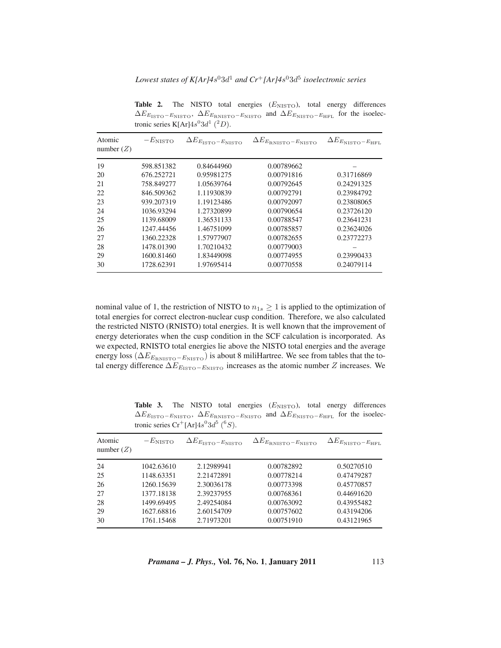*Lowest states of K[Ar]4s*<sup>0</sup>3d<sup>1</sup> *and Cr*<sup>+</sup>*[Ar]4s*<sup>0</sup>3d<sup>5</sup> *isoelectronic series* 

| Atomic       | $-E_{NISTO}$ | $\Delta E_{E_{\text{ISTO}}-E_{\text{NISTO}}}$ | $\Delta E_{E_{\rm RNISTO}-E_{\rm NISTO}}$ | $\Delta E_{E_{\rm NISTO}-E_{\rm HFL}}$ |
|--------------|--------------|-----------------------------------------------|-------------------------------------------|----------------------------------------|
| number $(Z)$ |              |                                               |                                           |                                        |
| 19           | 598.851382   | 0.84644960                                    | 0.00789662                                |                                        |
| 20           | 676.252721   | 0.95981275                                    | 0.00791816                                | 0.31716869                             |
| 21           | 758.849277   | 1.05639764                                    | 0.00792645                                | 0.24291325                             |
| 22           | 846.509362   | 1.11930839                                    | 0.00792791                                | 0.23984792                             |
| 23           | 939.207319   | 1.19123486                                    | 0.00792097                                | 0.23808065                             |
| 24           | 1036.93294   | 1.27320899                                    | 0.00790654                                | 0.23726120                             |
| 25           | 1139.68009   | 1.36531133                                    | 0.00788547                                | 0.23641231                             |
| 26           | 1247.44456   | 1.46751099                                    | 0.00785857                                | 0.23624026                             |
| 27           | 1360.22328   | 1.57977907                                    | 0.00782655                                | 0.23772273                             |
| 28           | 1478.01390   | 1.70210432                                    | 0.00779003                                |                                        |
| 29           | 1600.81460   | 1.83449098                                    | 0.00774955                                | 0.23990433                             |
| 30           | 1728.62391   | 1.97695414                                    | 0.00770558                                | 0.24079114                             |

Table 2. The NISTO total energies ( $E_{\text{NISTO}}$ ), total energy differences  $\Delta E_{E_{\text{ISTO}}-E_{\text{NISTO}}}$ ,  $\Delta E_{E_{\text{R NISTO}}-E_{\text{NISTO}}}$  and  $\Delta E_{E_{\text{NISTO}}-E_{\text{HFL}}}$  for the isoelectronic series K[Ar] $4s^03d^1$  (<sup>2</sup>D).

nominal value of 1, the restriction of NISTO to  $n_{1s} \geq 1$  is applied to the optimization of total energies for correct electron-nuclear cusp condition. Therefore, we also calculated the restricted NISTO (RNISTO) total energies. It is well known that the improvement of energy deteriorates when the cusp condition in the SCF calculation is incorporated. As we expected, RNISTO total energies lie above the NISTO total energies and the average energy loss ( $\Delta E_{E_{\text{RNISTO}}-E_{\text{NISTO}}}$ ) is about 8 miliHartree. We see from tables that the total energy difference  $\Delta E_{E_{\text{ISTO}}-E_{\text{NISTO}}}$  increases as the atomic number Z increases. We

|                        | tronic series $Cr^+ [Ar] 4s^0 3d^5 (6s)$ . |                                               |                                           |                                        |  |  |  |  |
|------------------------|--------------------------------------------|-----------------------------------------------|-------------------------------------------|----------------------------------------|--|--|--|--|
| Atomic<br>number $(Z)$ | $-E_{NISTO}$                               | $\Delta E_{E_{\text{ISTO}}-E_{\text{NISTO}}}$ | $\Delta E_{E_{\rm RNISTO}-E_{\rm NISTO}}$ | $\Delta E_{E_{\rm NISTO}-E_{\rm HFL}}$ |  |  |  |  |
| 24                     | 1042.63610                                 | 2.12989941                                    | 0.00782892                                | 0.50270510                             |  |  |  |  |
| 25                     | 1148.63351                                 | 2.21472891                                    | 0.00778214                                | 0.47479287                             |  |  |  |  |
| 26                     | 1260.15639                                 | 2.30036178                                    | 0.00773398                                | 0.45770857                             |  |  |  |  |
| 27                     | 1377.18138                                 | 2.39237955                                    | 0.00768361                                | 0.44691620                             |  |  |  |  |
| 28                     | 1499.69495                                 | 2.49254084                                    | 0.00763092                                | 0.43955482                             |  |  |  |  |
| 29                     | 1627.68816                                 | 2.60154709                                    | 0.00757602                                | 0.43194206                             |  |  |  |  |
| 30                     | 1761.15468                                 | 2.71973201                                    | 0.00751910                                | 0.43121965                             |  |  |  |  |

Table 3. The NISTO total energies ( $E_{\text{NISTO}}$ ), total energy differences  $\Delta E_{E_{\text{ISTO}}-E_{\text{NISTO}}}$ ,  $\Delta E_{E_{\text{RNISTO}}-E_{\text{NISTO}}}$  and  $\Delta E_{E_{\text{NISTO}}-E_{\text{HFL}}}$  for the isoelec-

*Pramana – J. Phys.,* **Vol. 76, No. 1**, **January 2011** 113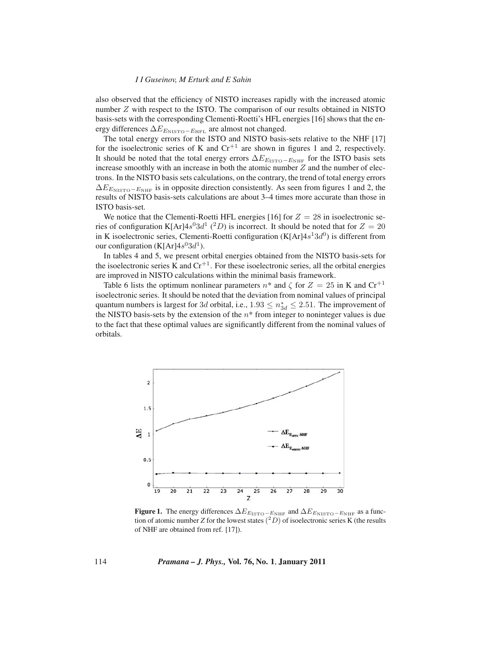#### *I I Guseinov, M Erturk and E Sahin*

also observed that the efficiency of NISTO increases rapidly with the increased atomic number Z with respect to the ISTO. The comparison of our results obtained in NISTO basis-sets with the corresponding Clementi-Roetti's HFL energies [16] shows that the energy differences  $\Delta E_{E_{\text{NISTO}}-E_{\text{HFL}}}$  are almost not changed.

The total energy errors for the ISTO and NISTO basis-sets relative to the NHF [17] for the isoelectronic series of K and  $Cr^{+1}$  are shown in figures 1 and 2, respectively. It should be noted that the total energy errors  $\Delta E_{E_{\text{ISTO}}-E_{\text{NHF}}}$  for the ISTO basis sets increase smoothly with an increase in both the atomic number  $Z$  and the number of electrons. In the NISTO basis sets calculations, on the contrary, the trend of total energy errors  $\Delta E_{E_{\text{NISTO}}-E_{\text{NHF}}}$  is in opposite direction consistently. As seen from figures 1 and 2, the results of NISTO basis-sets calculations are about 3–4 times more accurate than those in ISTO basis-set.

We notice that the Clementi-Roetti HFL energies [16] for  $Z = 28$  in isoelectronic series of configuration K[Ar] $4s^03d^1$  (<sup>2</sup>D) is incorrect. It should be noted that for  $Z = 20$ in K isoelectronic series, Clementi-Roetti configuration (K[Ar] $4s<sup>1</sup>3d<sup>0</sup>$ ) is different from our configuration (K[Ar] $4s^{0}3d^{1}$ ).

In tables 4 and 5, we present orbital energies obtained from the NISTO basis-sets for the isoelectronic series K and  $Cr^{+1}$ . For these isoelectronic series, all the orbital energies are improved in NISTO calculations within the minimal basis framework.

Table 6 lists the optimum nonlinear parameters  $n^*$  and  $\zeta$  for  $Z = 25$  in K and  $\text{Cr}^{+1}$ isoelectronic series. It should be noted that the deviation from nominal values of principal quantum numbers is largest for 3d orbital, i.e.,  $1.93 \le n_{3d}^* \le 2.51$ . The improvement of the NISTO basis-sets by the extension of the  $n^*$  from integer to noninteger values is due to the fact that these optimal values are significantly different from the nominal values of orbitals.



**Figure 1.** The energy differences  $\Delta E_{E_{\text{ISTO}}-E_{\text{NHF}}}$  and  $\Delta E_{E_{\text{NISTO}}-E_{\text{NHF}}}$  as a function of atomic number *Z* for the lowest states  $(^2D)$  of isoelectronic series K (the results of NHF are obtained from ref. [17]).

114 *Pramana – J. Phys.,* **Vol. 76, No. 1**, **January 2011**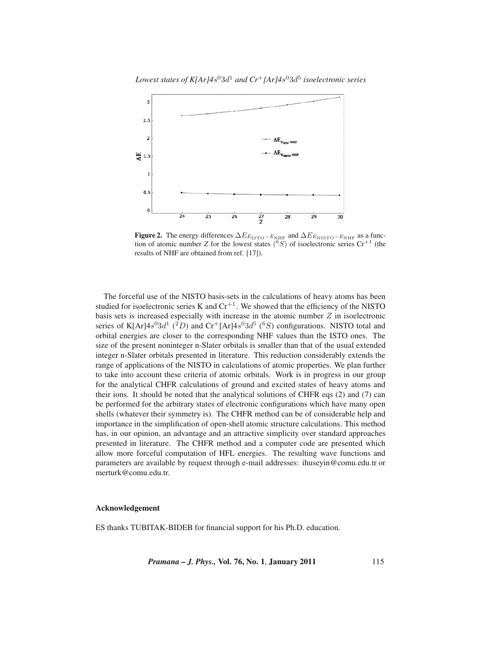*Lowest states of K[Ar]4s*<sup>0</sup>3 $d^1$  *and Cr*<sup>+</sup>*[Ar]4s*<sup>0</sup>3 $d^5$  *isoelectronic series* 



**Figure 2.** The energy differences  $\Delta E_{E_{\text{ISTO}}-E_{\text{NHF}}}$  and  $\Delta E_{E_{\text{NISTO}}-E_{\text{NHF}}}$  as a function of atomic number *Z* for the lowest states  $\binom{6}{5}$  of isoelectronic series Cr<sup>+1</sup> (the results of NHF are obtained from ref. [17]).

The forceful use of the NISTO basis-sets in the calculations of heavy atoms has been studied for isoelectronic series K and  $Cr^{+1}$ . We showed that the efficiency of the NISTO basis sets is increased especially with increase in the atomic number  $Z$  in isoelectronic series of K[Ar] $4s^03d^1$  (<sup>2</sup>D) and Cr<sup>+</sup>[Ar] $4s^03d^5$  (<sup>6</sup>S) configurations. NISTO total and orbital energies are closer to the corresponding NHF values than the ISTO ones. The size of the present noninteger n-Slater orbitals is smaller than that of the usual extended integer n-Slater orbitals presented in literature. This reduction considerably extends the range of applications of the NISTO in calculations of atomic properties. We plan further to take into account these criteria of atomic orbitals. Work is in progress in our group for the analytical CHFR calculations of ground and excited states of heavy atoms and their ions. It should be noted that the analytical solutions of CHFR eqs (2) and (7) can be performed for the arbitrary states of electronic configurations which have many open shells (whatever their symmetry is). The CHFR method can be of considerable help and importance in the simplification of open-shell atomic structure calculations. This method has, in our opinion, an advantage and an attractive simplicity over standard approaches presented in literature. The CHFR method and a computer code are presented which allow more forceful computation of HFL energies. The resulting wave functions and parameters are available by request through e-mail addresses: ihuseyin@comu.edu.tr or merturk@comu.edu.tr.

## **Acknowledgement**

ES thanks TUBITAK-BIDEB for financial support for his Ph.D. education.

*Pramana – J. Phys.,* **Vol. 76, No. 1**, **January 2011** 115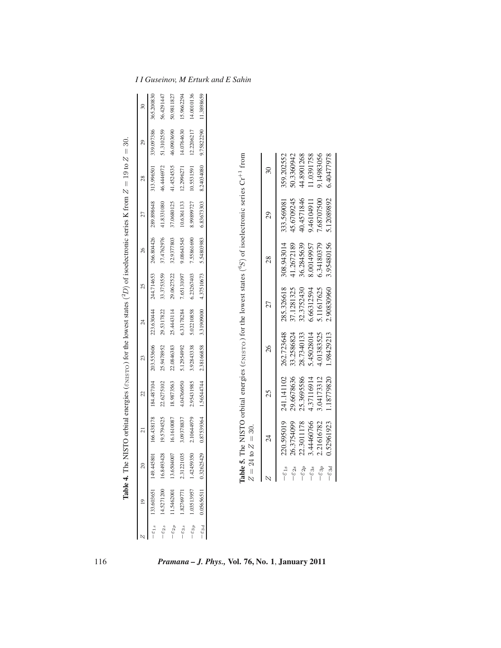|                               | $\overline{19}$       | $\overline{20}$     | $\overline{c}$   | 22         | 23         | $\overline{24}$ | 25         | 26         | 27         | 28                       | 29         | R          |
|-------------------------------|-----------------------|---------------------|------------------|------------|------------|-----------------|------------|------------|------------|--------------------------|------------|------------|
| $ \varepsilon$ <sub>1.8</sub> | 133.603651            | 149.445801          | 166.438178       | 184.487104 | 203.553606 | 223.630444      | 244.714653 | 266.804426 | 289.898648 | 313.996501               | 339.097386 | 365.200830 |
| $-\varepsilon_{2s}$           | 14.5271200 16.8493428 |                     | 19.5794525       | 22.6275102 | 25.9478952 | 29.5317822      | 33.3753559 | 37.4762976 | 41.8331080 | 46.4446972               | 51.3102559 | 56.4291447 |
| $-\varepsilon_{2p}$           | 11.5462001            | 13.6504007          | 16.1610087       | 18.9873563 | 22.0846383 | 25.4443114      | 29.0627522 | 32.9377803 | 37.0680125 | 41.4524535               | 46.0903690 | 50.9811827 |
| $-\varepsilon_{3s}$           | 1.82769771            | 2.31221035          | 3.09378837       | 4.04766950 | 5.12954992 | 6.33178284      | 7.65131097 | 9.08643545 | 10.6361133 | 12.2996271               | 14.0764630 | 15.9662294 |
| $-\varepsilon_{3p}$           | 1.03513957            | 1.42459350          | 2.10644979       | 2.95431985 | 3.92843338 | 5.02210858      | 6.23267403 | 7.55861690 | 8.99899727 | 10.5531591               | 12.2206217 | 14.0010136 |
| $-\varepsilon_{3d}$           | 0.05656511            | 0.326254            | 0.87539364<br>29 | 1.56544744 | 2.38166858 | 3.31909000      | 4.37510673 | 5.54803983 | 6.83673303 | 8.24034080               | 9.75822290 | 11.3898659 |
|                               |                       | $Z = 24$            | to $Z = 30$ .    |            |            |                 |            |            |            |                          |            |            |
|                               |                       |                     | 24               | 25         | 26         |                 | 27         | 28         | 29         | $\overline{\mathcal{E}}$ |            |            |
|                               |                       | $-\varepsilon_{1s}$ | 220.595019       | 241.141102 | 262.723648 |                 | 285.326618 | 308.943014 | 333.569081 | 359.202552               |            |            |
|                               |                       | $-\varepsilon_{2s}$ | 26.3754099       | 29.6678636 | 33.2586824 |                 | 37.1281325 | 41.2672189 | 45.6709245 | 50.3360942               |            |            |
|                               |                       | $-\varepsilon_{2p}$ | 22.3011178       | 25.3695586 | 28.7340133 |                 | 32.3752430 | 36.2845639 | 40.4571846 | 44.8901268               |            |            |
|                               |                       | $-\varepsilon_{3s}$ | 3.44460766       | 4.37116914 | 45028014   |                 | 6.66312594 | 8.00149957 | 9.4610491  | 1.0391758                |            |            |
|                               |                       | $-\varepsilon_{3p}$ | 2.21616782       | 3.04173312 | 4.01383525 |                 | 5.11617625 | 6.34180379 | 7.68707500 | 9.14983056               |            |            |
|                               |                       | $-\varepsilon_{3d}$ | 0.52961923       | 1.18779820 | 1.98429213 |                 | 2.90830960 | 3.95480156 | 5.12089892 | 6.40477978               |            |            |

*I I Guseinov, M Erturk and E Sahin*

**Table 4.** The NISTO orbital energies (ε<sub>NISTO</sub>) for the lowest states ( بن D) of isoelectronic series K from Z $Z = 19$  to  $Z = 30.$ 

 $\begin{array}{c|c|c|c|c|c|c|c|c} \hline \mathbf{N} & \mathbf{I} & \mathbf{I} & \mathbf{I} & \mathbf{I} & \mathbf{I} & \mathbf{I} & \mathbf{I} & \mathbf{I} & \mathbf{I} & \mathbf{I} & \mathbf{I} & \mathbf{I} & \mathbf{I} & \mathbf{I} & \mathbf{I} & \mathbf{I} & \mathbf{I} & \mathbf{I} & \mathbf{I} & \mathbf{I} & \mathbf{I} & \mathbf{I} & \mathbf{I} & \mathbf{I} & \mathbf{I} & \mathbf{I} & \mathbf{I$